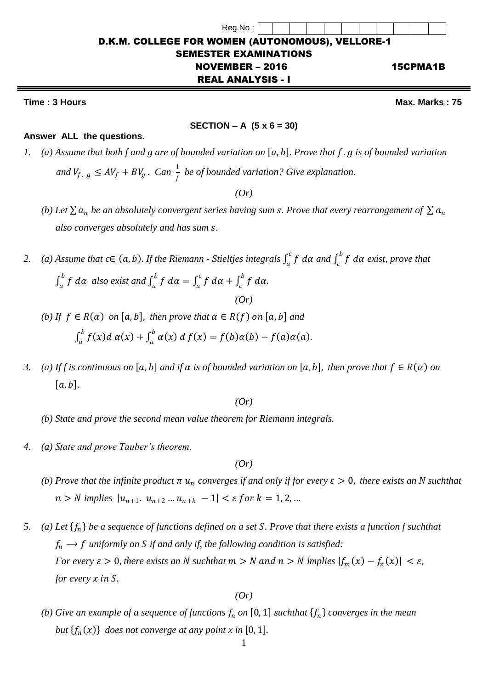## **Time : 3 Hours Max.** Marks : 75

#### **SECTION – A (5 x 6 = 30)**

٦

#### **Answer ALL the questions.**

*1.* (a) Assume that both f and g are of bounded variation on [a, b]. Prove that f . g is of bounded variation and  $V_{f, g} \leq AV_f + BV_g$ . Can  $\frac{1}{f}$  be of bounded variation? Give explanation.

*(Or)*

- *(b)* Let  $\sum a_n$  be an absolutely convergent series having sum *s*. Prove that every rearrangement of  $\sum a_n$  *also converges absolutely and has sum .*
- *2. (a)* Assume that  $c \in (a, b)$ . If the Riemann Stieltjes integrals  $\int_a^c f \, d\alpha$  $\int_a^c f \, d\alpha$  and  $\int_c^b f \, d\alpha$  $\int_{c}^{b} f \, d\alpha$  exist, prove that

$$
\int_a^b f \, d\alpha \text{ also exist and } \int_a^b f \, d\alpha = \int_a^c f \, d\alpha + \int_c^b f \, d\alpha.
$$
\n
$$
(Or)
$$

- *(b)* If  $f \in R(\alpha)$  *on*  $[a, b]$ *, then prove that*  $\alpha \in R(f)$  *on*  $[a, b]$  *and*  $\int_{a}^{b} f(x) dx$   $\alpha(x)$  $\int_a^b f(x)dx$   $\alpha(x) + \int_a^b \alpha(x) dx$  $\int_a^b \alpha(x) d f(x) = f(b) \alpha(b) - f(a) \alpha(a).$
- *3. (a) If f is continuous on* [a, b] and if  $\alpha$  is of bounded variation on [a, b], then prove that  $f \in R(\alpha)$  on  $[a, b]$ .

*(Or)*

- *(b) State and prove the second mean value theorem for Riemann integrals.*
- *4. (a) State and prove Tauber's theorem.*

*(Or)*

- *(b) Prove that the infinite product*  $\pi u_n$  *converges if and only if for every*  $\varepsilon > 0$ *, there exists an N suchthat*  $n > N$  implies  $|u_{n+1}$ ,  $u_{n+2}$  ...  $u_{n+k} - 1| < \varepsilon$  for  $k = 1, 2, ...$
- *5. (a) Let be a sequence of functions defined on a set . Prove that there exists a function f suchthat*  $f_n \rightarrow f$  uniformly on S if and only if, the following condition is satisfied: *For every*  $\varepsilon > 0$ , there exists an N suchthat  $m > N$  and  $n > N$  implies  $|f_m(x) - f_n(x)| < \varepsilon$ , *for every*  $x$  *in*  $S$ *.*

*(Or)*

*(b)* Give an example of a sequence of functions  $f_n$  on  $[0,1]$  suchthat  $\{f_n\}$  converges in the mean *but*  $\{f_n(x)\}\)$  does not converge at any point x in [0, 1].